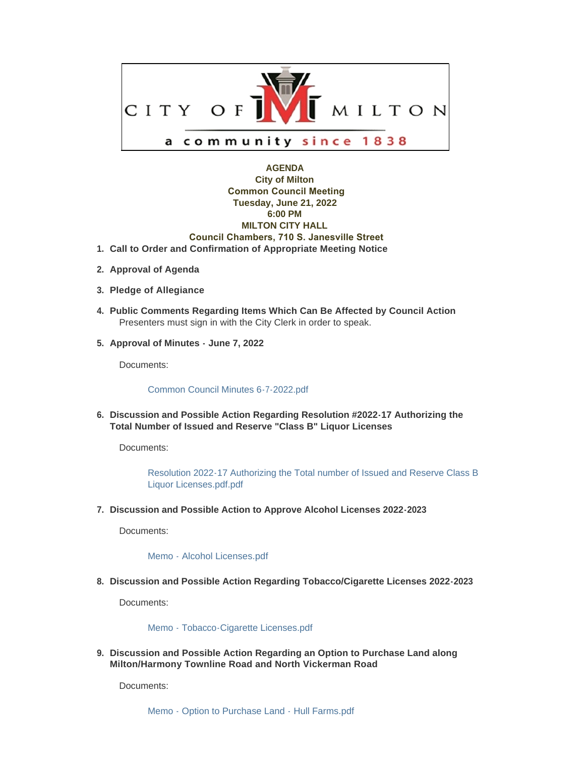

# **AGENDA City of Milton Common Council Meeting Tuesday, June 21, 2022 6:00 PM MILTON CITY HALL Council Chambers, 710 S. Janesville Street Call to Order and Confirmation of Appropriate Meeting Notice 1.**

- **Approval of Agenda 2.**
- **Pledge of Allegiance 3.**
- **Public Comments Regarding Items Which Can Be Affected by Council Action 4.** Presenters must sign in with the City Clerk in order to speak.
- **Approval of Minutes June 7, 2022 5.**

Documents:

### [Common Council Minutes 6-7-2022.pdf](https://www.milton-wi.gov/AgendaCenter/ViewFile/Item/9981?fileID=7843)

**Discussion and Possible Action Regarding Resolution #2022-17 Authorizing the 6. Total Number of Issued and Reserve "Class B" Liquor Licenses** 

Documents:

[Resolution 2022-17 Authorizing the Total number of Issued and Reserve Class B](https://www.milton-wi.gov/AgendaCenter/ViewFile/Item/10000?fileID=7826)  Liquor Licenses.pdf.pdf

**Discussion and Possible Action to Approve Alcohol Licenses 2022-2023 7.**

Documents:

[Memo - Alcohol Licenses.pdf](https://www.milton-wi.gov/AgendaCenter/ViewFile/Item/9995?fileID=7827)

**Discussion and Possible Action Regarding Tobacco/Cigarette Licenses 2022-2023 8.**

Documents:

### [Memo - Tobacco-Cigarette Licenses.pdf](https://www.milton-wi.gov/AgendaCenter/ViewFile/Item/9990?fileID=7799)

**Discussion and Possible Action Regarding an Option to Purchase Land along 9. Milton/Harmony Townline Road and North Vickerman Road**

Documents: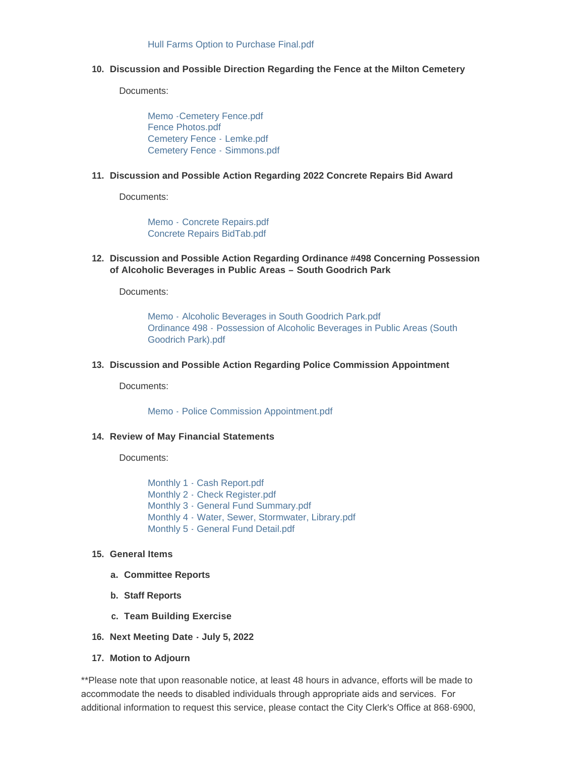## **Discussion and Possible Direction Regarding the Fence at the Milton Cemetery 10.**

Documents:

[Memo -Cemetery Fence.pdf](https://www.milton-wi.gov/AgendaCenter/ViewFile/Item/9998?fileID=7829) [Fence Photos.pdf](https://www.milton-wi.gov/AgendaCenter/ViewFile/Item/9998?fileID=7820) [Cemetery Fence -](https://www.milton-wi.gov/AgendaCenter/ViewFile/Item/9998?fileID=7818) Lemke.pdf [Cemetery Fence -](https://www.milton-wi.gov/AgendaCenter/ViewFile/Item/9998?fileID=7819) Simmons.pdf

#### **Discussion and Possible Action Regarding 2022 Concrete Repairs Bid Award 11.**

Documents:

Memo - [Concrete Repairs.pdf](https://www.milton-wi.gov/AgendaCenter/ViewFile/Item/9997?fileID=7828) [Concrete Repairs BidTab.pdf](https://www.milton-wi.gov/AgendaCenter/ViewFile/Item/9997?fileID=7816)

**Discussion and Possible Action Regarding Ordinance #498 Concerning Possession 12. of Alcoholic Beverages in Public Areas – South Goodrich Park**

Documents:

Memo - [Alcoholic Beverages in South Goodrich Park.pdf](https://www.milton-wi.gov/AgendaCenter/ViewFile/Item/9999?fileID=7823) Ordinance 498 - [Possession of Alcoholic Beverages in Public Areas \(South](https://www.milton-wi.gov/AgendaCenter/ViewFile/Item/9999?fileID=7824)  Goodrich Park).pdf

**Discussion and Possible Action Regarding Police Commission Appointment 13.**

Documents:

[Memo - Police Commission Appointment.pdf](https://www.milton-wi.gov/AgendaCenter/ViewFile/Item/9993?fileID=7805)

#### **Review of May Financial Statements 14.**

Documents:

[Monthly 1 - Cash Report.pdf](https://www.milton-wi.gov/AgendaCenter/ViewFile/Item/9992?fileID=7811) [Monthly 2 - Check Register.pdf](https://www.milton-wi.gov/AgendaCenter/ViewFile/Item/9992?fileID=7812) [Monthly 3 - General Fund Summary.pdf](https://www.milton-wi.gov/AgendaCenter/ViewFile/Item/9992?fileID=7813) [Monthly 4 - Water, Sewer, Stormwater, Library.pdf](https://www.milton-wi.gov/AgendaCenter/ViewFile/Item/9992?fileID=7814) [Monthly 5 - General Fund Detail.pdf](https://www.milton-wi.gov/AgendaCenter/ViewFile/Item/9992?fileID=7815)

#### **General Items 15.**

- **Committee Reports a.**
- **Staff Reports b.**
- **Team Building Exercise c.**
- **Next Meeting Date July 5, 2022 16.**
- **Motion to Adjourn 17.**

\*\*Please note that upon reasonable notice, at least 48 hours in advance, efforts will be made to accommodate the needs to disabled individuals through appropriate aids and services. For additional information to request this service, please contact the City Clerk's Office at 868-6900,